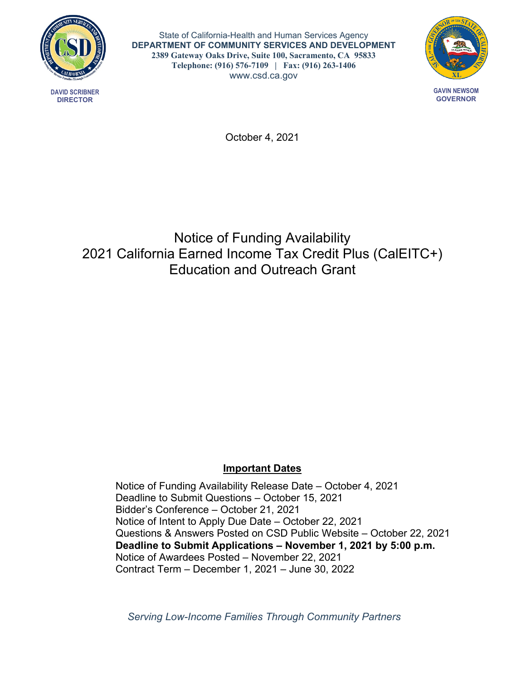

**DAVID SCRIBNER DIRECTOR**

State of California-Health and Human Services Agency **DEPARTMENT OF COMMUNITY SERVICES AND DEVELOPMENT 2389 Gateway Oaks Drive, Suite 100, Sacramento, CA 95833 Telephone: (916) 576-7109 | Fax: (916) 263-1406** <www.csd.ca.gov>



October 4, 2021

# Notice of Funding Availability 2021 California Earned Income Tax Credit Plus (CalEITC+) Education and Outreach Grant

## **Important Dates**

Notice of Funding Availability Release Date – October 4, 2021 Deadline to Submit Questions – October 15, 2021 Bidder's Conference – October 21, 2021 Notice of Intent to Apply Due Date – October 22, 2021 Questions & Answers Posted on CSD Public Website – October 22, 2021 **Deadline to Submit Applications – November 1, 2021 by 5:00 p.m.** Notice of Awardees Posted – November 22, 2021 Contract Term – December 1, 2021 – June 30, 2022

*Serving Low-Income Families Through Community Partners*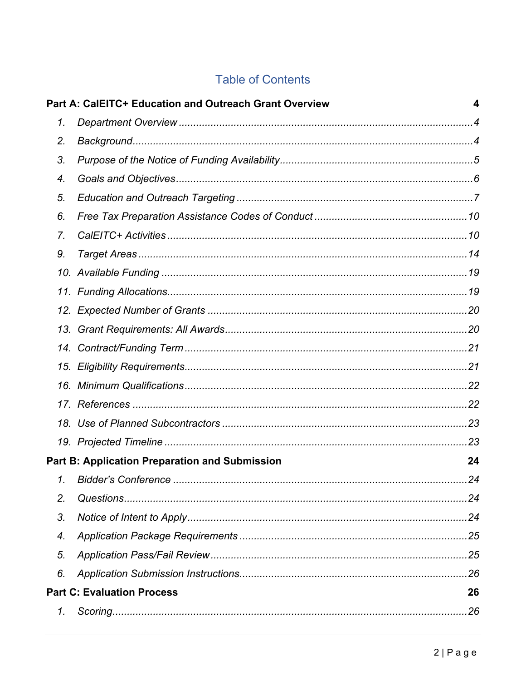# **Table of Contents**

|    | Part A: CalEITC+ Education and Outreach Grant Overview | 4  |
|----|--------------------------------------------------------|----|
| 1. |                                                        |    |
| 2. |                                                        |    |
| 3. |                                                        |    |
| 4. |                                                        |    |
| 5. |                                                        |    |
| 6. |                                                        |    |
| 7. |                                                        |    |
| 9. |                                                        |    |
|    |                                                        |    |
|    |                                                        |    |
|    |                                                        |    |
|    |                                                        |    |
|    |                                                        |    |
|    |                                                        |    |
|    |                                                        |    |
|    |                                                        |    |
|    |                                                        |    |
|    |                                                        |    |
|    | <b>Part B: Application Preparation and Submission</b>  | 24 |
|    |                                                        |    |
| 2. |                                                        |    |
| 3. |                                                        |    |
| 4. |                                                        |    |
| 5. |                                                        |    |
| 6. |                                                        |    |
|    | <b>Part C: Evaluation Process</b>                      | 26 |
| 1. |                                                        | 26 |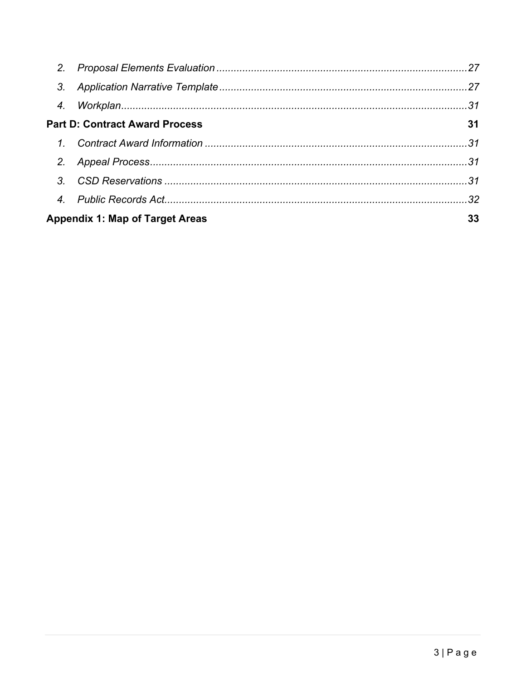| <b>Part D: Contract Award Process</b>  | 31 |
|----------------------------------------|----|
|                                        |    |
|                                        |    |
|                                        |    |
|                                        |    |
| <b>Appendix 1: Map of Target Areas</b> | 33 |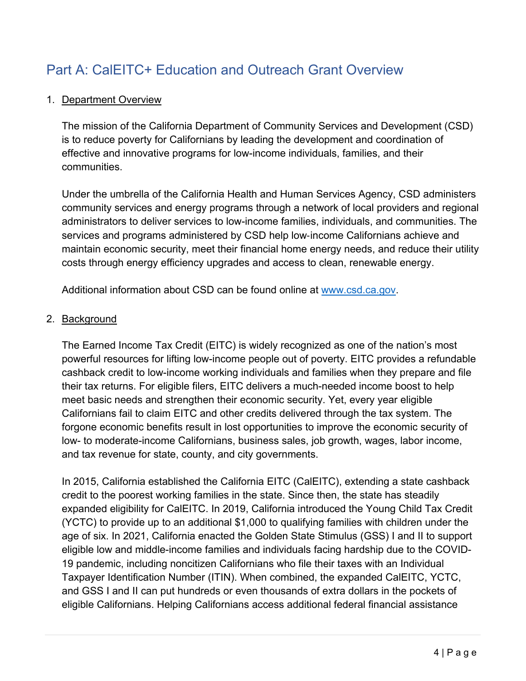# <span id="page-3-0"></span>Part A: CalEITC+ Education and Outreach Grant Overview

#### <span id="page-3-1"></span>1. Department Overview

The mission of the California Department of Community Services and Development (CSD) is to reduce poverty for Californians by leading the development and coordination of effective and innovative programs for low-income individuals, families, and their communities.

Under the umbrella of the California Health and Human Services Agency, CSD administers community services and energy programs through a network of local providers and regional administrators to deliver services to low-income families, individuals, and communities. The services and programs administered by CSD help low-income Californians achieve and maintain economic security, meet their financial home energy needs, and reduce their utility costs through energy efficiency upgrades and access to clean, renewable energy.

Additional information about CSD can be found online at [www.csd.ca.gov.](file://csdhv2shared/Shared/CSDiv/PDTS/Cal%20Earned%20Income%20Tax%20Credit%20(Cal%20EITC)%20Grants/2019%20Grant/2019%20Grant%20Education%20&%20Outreach/2019%20Cal%20EITC%20E&O%20NOFA/2019%20NOFA%20Document/www.csd.ca.gov)

#### <span id="page-3-2"></span>2. Background

The Earned Income Tax Credit (EITC) is widely recognized as one of the nation's most powerful resources for lifting low-income people out of poverty. EITC provides a refundable cashback credit to low-income working individuals and families when they prepare and file their tax returns. For eligible filers, EITC delivers a much-needed income boost to help meet basic needs and strengthen their economic security. Yet, every year eligible Californians fail to claim EITC and other credits delivered through the tax system. The forgone economic benefits result in lost opportunities to improve the economic security of low- to moderate-income Californians, business sales, job growth, wages, labor income, and tax revenue for state, county, and city governments.

In 2015, California established the California EITC (CalEITC), extending a state cashback credit to the poorest working families in the state. Since then, the state has steadily expanded eligibility for CalEITC. In 2019, California introduced the Young Child Tax Credit (YCTC) to provide up to an additional \$1,000 to qualifying families with children under the age of six. In 2021, California enacted the Golden State Stimulus (GSS) I and II to support eligible low and middle-income families and individuals facing hardship due to the COVID-19 pandemic, including noncitizen Californians who file their taxes with an Individual Taxpayer Identification Number (ITIN). When combined, the expanded CalEITC, YCTC, and GSS I and II can put hundreds or even thousands of extra dollars in the pockets of eligible Californians. Helping Californians access additional federal financial assistance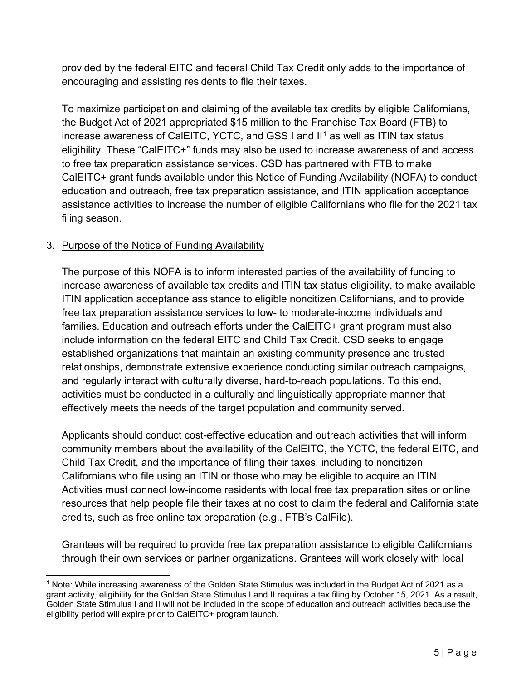provided by the federal EITC and federal Child Tax Credit only adds to the importance of encouraging and assisting residents to file their taxes.

To maximize participation and claiming of the available tax credits by eligible Californians, the Budget Act of 2021 appropriated \$15 million to the Franchise Tax Board (FTB) to increase awareness of CalEITC, YCTC, and GSS I and II<sup>[1](#page-4-1)</sup> as well as ITIN tax status eligibility. These "CalEITC+" funds may also be used to increase awareness of and access to free tax preparation assistance services. CSD has partnered with FTB to make CalEITC+ grant funds available under this Notice of Funding Availability (NOFA) to conduct education and outreach, free tax preparation assistance, and ITIN application acceptance assistance activities to increase the number of eligible Californians who file for the 2021 tax filing season.

## <span id="page-4-0"></span>3. Purpose of the Notice of Funding Availability

The purpose of this NOFA is to inform interested parties of the availability of funding to increase awareness of available tax credits and ITIN tax status eligibility, to make available ITIN application acceptance assistance to eligible noncitizen Californians, and to provide free tax preparation assistance services to low- to moderate-income individuals and families. Education and outreach efforts under the CalEITC+ grant program must also include information on the federal EITC and Child Tax Credit. CSD seeks to engage established organizations that maintain an existing community presence and trusted relationships, demonstrate extensive experience conducting similar outreach campaigns, and regularly interact with culturally diverse, hard-to-reach populations. To this end, activities must be conducted in a culturally and linguistically appropriate manner that effectively meets the needs of the target population and community served.

Applicants should conduct cost-effective education and outreach activities that will inform community members about the availability of the CalEITC, the YCTC, the federal EITC, and Child Tax Credit, and the importance of filing their taxes, including to noncitizen Californians who file using an ITIN or those who may be eligible to acquire an ITIN. Activities must connect low-income residents with local free tax preparation sites or online resources that help people file their taxes at no cost to claim the federal and California state credits, such as free online tax preparation (e.g., FTB's CalFile).

Grantees will be required to provide free tax preparation assistance to eligible Californians through their own services or partner organizations. Grantees will work closely with local

<span id="page-4-1"></span><sup>1</sup> Note: While increasing awareness of the Golden State Stimulus was included in the Budget Act of 2021 as a grant activity, eligibility for the Golden State Stimulus I and II requires a tax filing by October 15, 2021. As a result, Golden State Stimulus I and II will not be included in the scope of education and outreach activities because the eligibility period will expire prior to CalEITC+ program launch.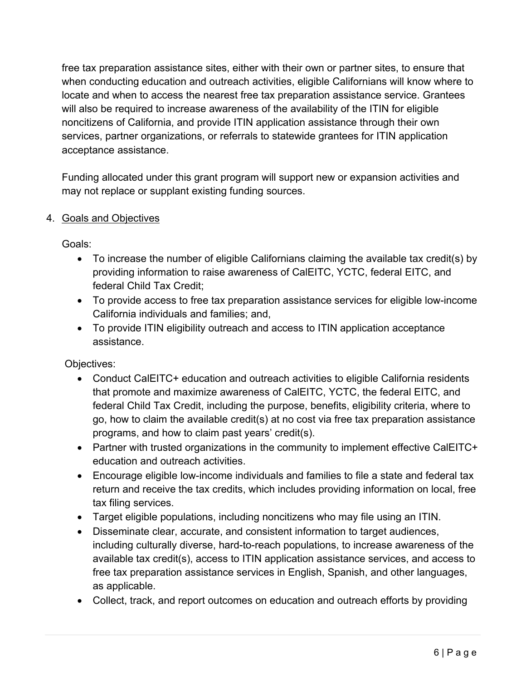free tax preparation assistance sites, either with their own or partner sites, to ensure that when conducting education and outreach activities, eligible Californians will know where to locate and when to access the nearest free tax preparation assistance service. Grantees will also be required to increase awareness of the availability of the ITIN for eligible noncitizens of California, and provide ITIN application assistance through their own services, partner organizations, or referrals to statewide grantees for ITIN application acceptance assistance.

Funding allocated under this grant program will support new or expansion activities and may not replace or supplant existing funding sources.

## <span id="page-5-0"></span>4. Goals and Objectives

Goals:

- To increase the number of eligible Californians claiming the available tax credit(s) by providing information to raise awareness of CalEITC, YCTC, federal EITC, and federal Child Tax Credit;
- To provide access to free tax preparation assistance services for eligible low-income California individuals and families; and,
- To provide ITIN eligibility outreach and access to ITIN application acceptance assistance.

Objectives:

- Conduct CalEITC+ education and outreach activities to eligible California residents that promote and maximize awareness of CalEITC, YCTC, the federal EITC, and federal Child Tax Credit, including the purpose, benefits, eligibility criteria, where to go, how to claim the available credit(s) at no cost via free tax preparation assistance programs, and how to claim past years' credit(s).
- Partner with trusted organizations in the community to implement effective CalEITC+ education and outreach activities.
- Encourage eligible low-income individuals and families to file a state and federal tax return and receive the tax credits, which includes providing information on local, free tax filing services.
- Target eligible populations, including noncitizens who may file using an ITIN.
- Disseminate clear, accurate, and consistent information to target audiences, including culturally diverse, hard-to-reach populations, to increase awareness of the available tax credit(s), access to ITIN application assistance services, and access to free tax preparation assistance services in English, Spanish, and other languages, as applicable.
- Collect, track, and report outcomes on education and outreach efforts by providing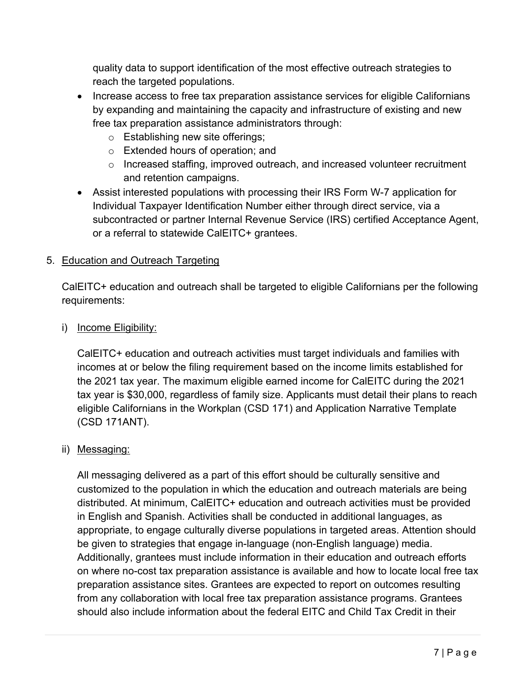quality data to support identification of the most effective outreach strategies to reach the targeted populations.

- Increase access to free tax preparation assistance services for eligible Californians by expanding and maintaining the capacity and infrastructure of existing and new free tax preparation assistance administrators through:
	- o Establishing new site offerings;
	- o Extended hours of operation; and
	- o Increased staffing, improved outreach, and increased volunteer recruitment and retention campaigns.
- Assist interested populations with processing their IRS Form W-7 application for Individual Taxpayer Identification Number either through direct service, via a subcontracted or partner Internal Revenue Service (IRS) certified Acceptance Agent, or a referral to statewide CalEITC+ grantees.

## <span id="page-6-0"></span>5. Education and Outreach Targeting

CalEITC+ education and outreach shall be targeted to eligible Californians per the following requirements:

i) Income Eligibility:

CalEITC+ education and outreach activities must target individuals and families with incomes at or below the filing requirement based on the income limits established for the 2021 tax year. The maximum eligible earned income for CalEITC during the 2021 tax year is \$30,000, regardless of family size. Applicants must detail their plans to reach eligible Californians in the Workplan (CSD 171) and Application Narrative Template (CSD 171ANT).

## ii) Messaging:

All messaging delivered as a part of this effort should be culturally sensitive and customized to the population in which the education and outreach materials are being distributed. At minimum, CalEITC+ education and outreach activities must be provided in English and Spanish. Activities shall be conducted in additional languages, as appropriate, to engage culturally diverse populations in targeted areas. Attention should be given to strategies that engage in-language (non-English language) media. Additionally, grantees must include information in their education and outreach efforts on where no-cost tax preparation assistance is available and how to locate local free tax preparation assistance sites. Grantees are expected to report on outcomes resulting from any collaboration with local free tax preparation assistance programs. Grantees should also include information about the federal EITC and Child Tax Credit in their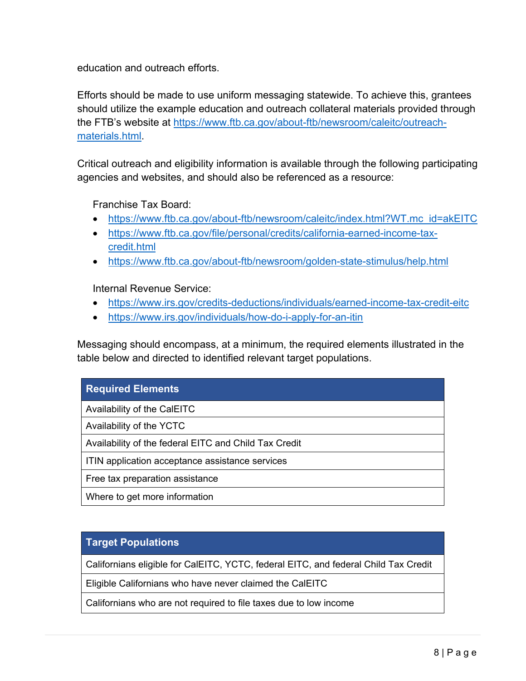education and outreach efforts.

Efforts should be made to use uniform messaging statewide. To achieve this, grantees should utilize the example education and outreach collateral materials provided through the FTB's website at [https://www.ftb.ca.gov/about-ftb/newsroom/caleitc/outreach](https://www.ftb.ca.gov/about-ftb/newsroom/caleitc/outreach-materials.html)[materials.html.](https://www.ftb.ca.gov/about-ftb/newsroom/caleitc/outreach-materials.html)

Critical outreach and eligibility information is available through the following participating agencies and websites, and should also be referenced as a resource:

Franchise Tax Board:

- [https://www.ftb.ca.gov/about-ftb/newsroom/caleitc/index.html?WT.mc\\_id=akEITC](https://www.ftb.ca.gov/about-ftb/newsroom/caleitc/index.html?WT.mc_id=akEITC)
- [https://www.ftb.ca.gov/file/personal/credits/california-earned-income-tax](https://www.ftb.ca.gov/file/personal/credits/california-earned-income-tax-credit.html)[credit.html](https://www.ftb.ca.gov/file/personal/credits/california-earned-income-tax-credit.html)
- <https://www.ftb.ca.gov/about-ftb/newsroom/golden-state-stimulus/help.html>

Internal Revenue Service:

- <https://www.irs.gov/credits-deductions/individuals/earned-income-tax-credit-eitc>
- <https://www.irs.gov/individuals/how-do-i-apply-for-an-itin>

Messaging should encompass, at a minimum, the required elements illustrated in the table below and directed to identified relevant target populations.

### **Required Elements**

Availability of the CalEITC

Availability of the YCTC

Availability of the federal EITC and Child Tax Credit

ITIN application acceptance assistance services

Free tax preparation assistance

Where to get more information

#### **Target Populations**

Californians eligible for CalEITC, YCTC, federal EITC, and federal Child Tax Credit

Eligible Californians who have never claimed the CalEITC

Californians who are not required to file taxes due to low income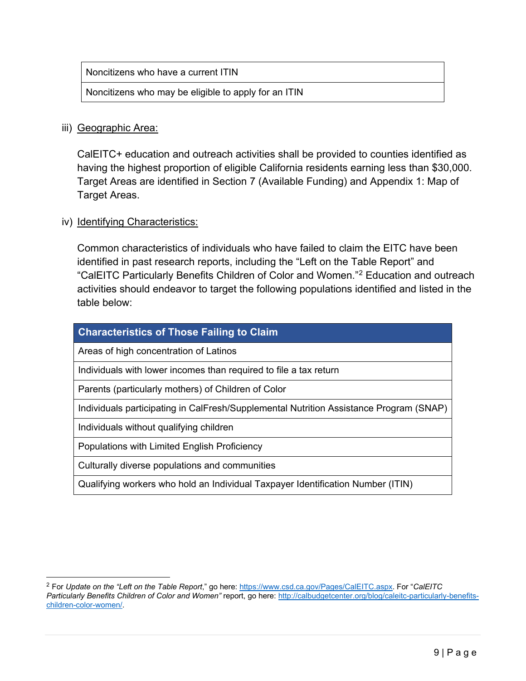Noncitizens who have a current ITIN

Noncitizens who may be eligible to apply for an ITIN

#### iii) Geographic Area:

CalEITC+ education and outreach activities shall be provided to counties identified as having the highest proportion of eligible California residents earning less than \$30,000. Target Areas are identified in Section 7 (Available Funding) and Appendix 1: Map of Target Areas.

#### iv) Identifying Characteristics:

Common characteristics of individuals who have failed to claim the EITC have been identified in past research reports, including the "Left on the Table Report" and "CalEITC Particularly Benefits Children of Color and Women."[2](#page-8-0) Education and outreach activities should endeavor to target the following populations identified and listed in the table below:

| <b>Characteristics of Those Failing to Claim</b>                                       |
|----------------------------------------------------------------------------------------|
| Areas of high concentration of Latinos                                                 |
| Individuals with lower incomes than required to file a tax return                      |
| Parents (particularly mothers) of Children of Color                                    |
| Individuals participating in CalFresh/Supplemental Nutrition Assistance Program (SNAP) |
| Individuals without qualifying children                                                |
| Populations with Limited English Proficiency                                           |
| Culturally diverse populations and communities                                         |
| Qualifying workers who hold an Individual Taxpayer Identification Number (ITIN)        |

<span id="page-8-0"></span><sup>2</sup> For *Update on the "Left on the Table Report*," go here: [https://www.csd.ca.gov/Pages/CalEITC.aspx.](https://www.csd.ca.gov/Pages/CalEITC.aspx) For "*CalEITC Particularly Benefits Children of Color and Women"* report, go here: [http://calbudgetcenter.org/blog/caleitc-particularly-benefits](http://calbudgetcenter.org/blog/caleitc-particularly-benefits-children-color-women/)[children-color-women/.](http://calbudgetcenter.org/blog/caleitc-particularly-benefits-children-color-women/)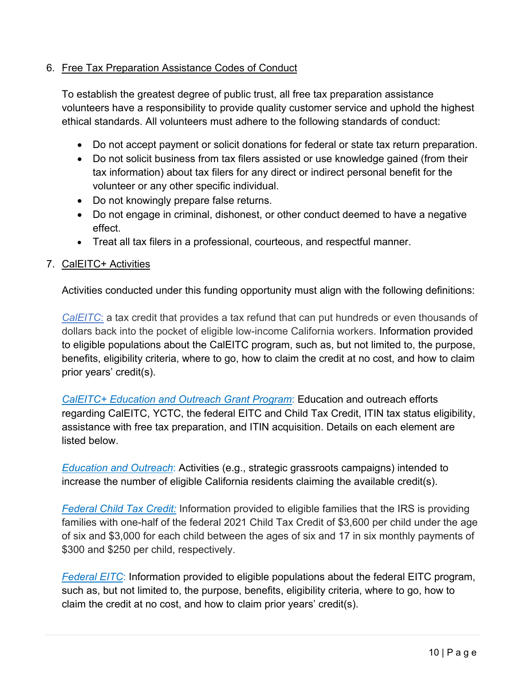### <span id="page-9-0"></span>6. Free Tax Preparation Assistance Codes of Conduct

To establish the greatest degree of public trust, all free tax preparation assistance volunteers have a responsibility to provide quality customer service and uphold the highest ethical standards. All volunteers must adhere to the following standards of conduct:

- Do not accept payment or solicit donations for federal or state tax return preparation.
- Do not solicit business from tax filers assisted or use knowledge gained (from their tax information) about tax filers for any direct or indirect personal benefit for the volunteer or any other specific individual.
- Do not knowingly prepare false returns.
- Do not engage in criminal, dishonest, or other conduct deemed to have a negative effect.
- Treat all tax filers in a professional, courteous, and respectful manner.

## <span id="page-9-1"></span>7. CalEITC+ Activities

Activities conducted under this funding opportunity must align with the following definitions:

*CalEITC*: a tax credit that provides a tax refund that can put hundreds or even thousands of dollars back into the pocket of eligible low-income California workers. Information provided to eligible populations about the CalEITC program, such as, but not limited to, the purpose, benefits, eligibility criteria, where to go, how to claim the credit at no cost, and how to claim prior years' credit(s).

*CalEITC+ Education and Outreach Grant Program*: Education and outreach efforts regarding CalEITC, YCTC, the federal EITC and Child Tax Credit, ITIN tax status eligibility, assistance with free tax preparation, and ITIN acquisition. Details on each element are listed below.

*Education and Outreach*: Activities (e.g., strategic grassroots campaigns) intended to increase the number of eligible California residents claiming the available credit(s).

*Federal Child Tax Credit:* Information provided to eligible families that the IRS is providing families with one-half of the federal 2021 Child Tax Credit of \$3,600 per child under the age of six and \$3,000 for each child between the ages of six and 17 in six monthly payments of \$300 and \$250 per child, respectively.

**Federal EITC:** Information provided to eligible populations about the federal EITC program, such as, but not limited to, the purpose, benefits, eligibility criteria, where to go, how to claim the credit at no cost, and how to claim prior years' credit(s).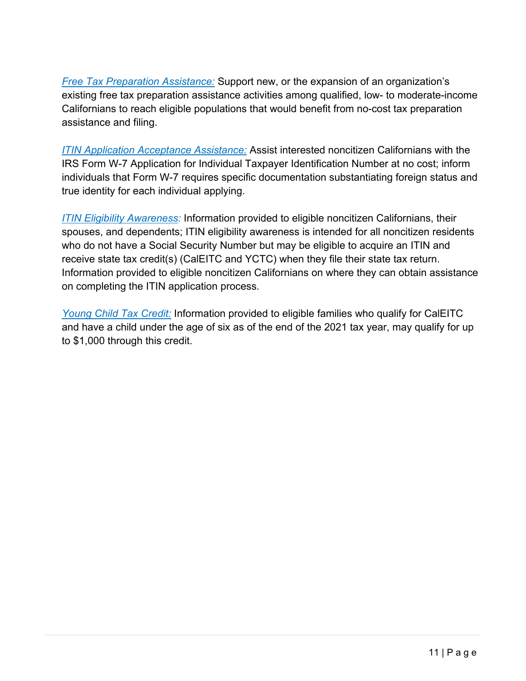*Free Tax Preparation Assistance:* Support new, or the expansion of an organization's existing free tax preparation assistance activities among qualified, low- to moderate-income Californians to reach eligible populations that would benefit from no-cost tax preparation assistance and filing.

*ITIN Application Acceptance Assistance:* Assist interested noncitizen Californians with the IRS Form W-7 Application for Individual Taxpayer Identification Number at no cost; inform individuals that Form W-7 requires specific documentation substantiating foreign status and true identity for each individual applying.

*ITIN Eligibility Awareness:* Information provided to eligible noncitizen Californians, their spouses, and dependents; ITIN eligibility awareness is intended for all noncitizen residents who do not have a Social Security Number but may be eligible to acquire an ITIN and receive state tax credit(s) (CalEITC and YCTC) when they file their state tax return. Information provided to eligible noncitizen Californians on where they can obtain assistance on completing the ITIN application process.

*Young Child Tax Credit:* Information provided to eligible families who qualify for CalEITC and have a child under the age of six as of the end of the 2021 tax year, may qualify for up to \$1,000 through this credit.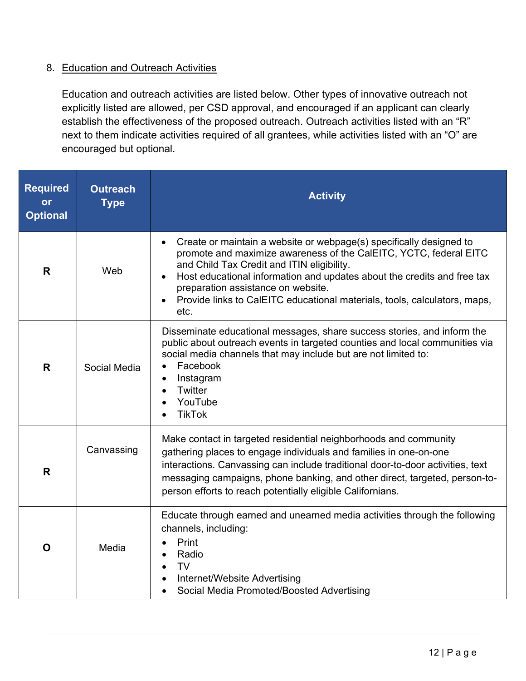## 8. Education and Outreach Activities

Education and outreach activities are listed below. Other types of innovative outreach not explicitly listed are allowed, per CSD approval, and encouraged if an applicant can clearly establish the effectiveness of the proposed outreach. Outreach activities listed with an "R" next to them indicate activities required of all grantees, while activities listed with an "O" are encouraged but optional.

| <b>Required</b><br>or<br><b>Optional</b> | <b>Outreach</b><br><b>Type</b> | <b>Activity</b>                                                                                                                                                                                                                                                                                                                                                                              |
|------------------------------------------|--------------------------------|----------------------------------------------------------------------------------------------------------------------------------------------------------------------------------------------------------------------------------------------------------------------------------------------------------------------------------------------------------------------------------------------|
| R                                        | Web                            | Create or maintain a website or webpage(s) specifically designed to<br>promote and maximize awareness of the CalEITC, YCTC, federal EITC<br>and Child Tax Credit and ITIN eligibility.<br>Host educational information and updates about the credits and free tax<br>preparation assistance on website.<br>Provide links to CalEITC educational materials, tools, calculators, maps,<br>etc. |
| R                                        | Social Media                   | Disseminate educational messages, share success stories, and inform the<br>public about outreach events in targeted counties and local communities via<br>social media channels that may include but are not limited to:<br>Facebook<br>Instagram<br>Twitter<br>YouTube<br><b>TikTok</b>                                                                                                     |
| R                                        | Canvassing                     | Make contact in targeted residential neighborhoods and community<br>gathering places to engage individuals and families in one-on-one<br>interactions. Canvassing can include traditional door-to-door activities, text<br>messaging campaigns, phone banking, and other direct, targeted, person-to-<br>person efforts to reach potentially eligible Californians.                          |
| O                                        | Media                          | Educate through earned and unearned media activities through the following<br>channels, including:<br>Print<br>Radio<br>TV.<br>Internet/Website Advertising<br>Social Media Promoted/Boosted Advertising                                                                                                                                                                                     |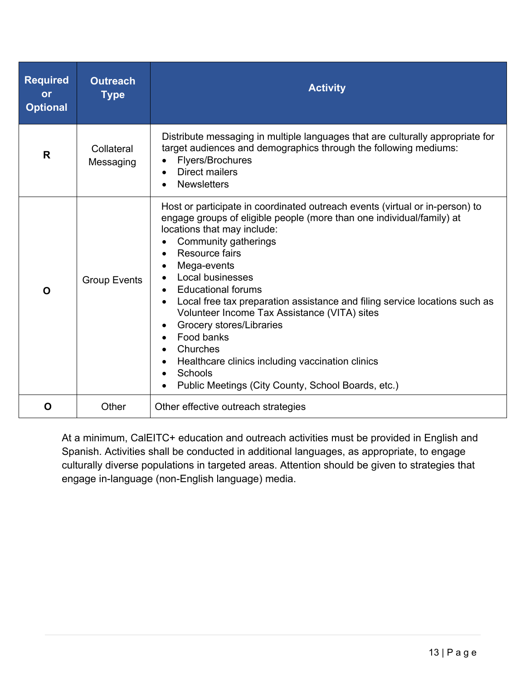| <b>Required</b><br><b>or</b><br><b>Optional</b> | <b>Outreach</b><br><b>Type</b> | <b>Activity</b>                                                                                                                                                                                                                                                                                                                                                                                                                                                                                                                                                                                         |
|-------------------------------------------------|--------------------------------|---------------------------------------------------------------------------------------------------------------------------------------------------------------------------------------------------------------------------------------------------------------------------------------------------------------------------------------------------------------------------------------------------------------------------------------------------------------------------------------------------------------------------------------------------------------------------------------------------------|
| R                                               | Collateral<br>Messaging        | Distribute messaging in multiple languages that are culturally appropriate for<br>target audiences and demographics through the following mediums:<br>Flyers/Brochures<br><b>Direct mailers</b><br><b>Newsletters</b>                                                                                                                                                                                                                                                                                                                                                                                   |
| O                                               | <b>Group Events</b>            | Host or participate in coordinated outreach events (virtual or in-person) to<br>engage groups of eligible people (more than one individual/family) at<br>locations that may include:<br>Community gatherings<br>Resource fairs<br>Mega-events<br>Local businesses<br><b>Educational forums</b><br>Local free tax preparation assistance and filing service locations such as<br>Volunteer Income Tax Assistance (VITA) sites<br>Grocery stores/Libraries<br>Food banks<br>Churches<br>Healthcare clinics including vaccination clinics<br>Schools<br>Public Meetings (City County, School Boards, etc.) |
| O                                               | Other                          | Other effective outreach strategies                                                                                                                                                                                                                                                                                                                                                                                                                                                                                                                                                                     |

At a minimum, CalEITC+ education and outreach activities must be provided in English and Spanish. Activities shall be conducted in additional languages, as appropriate, to engage culturally diverse populations in targeted areas. Attention should be given to strategies that engage in-language (non-English language) media.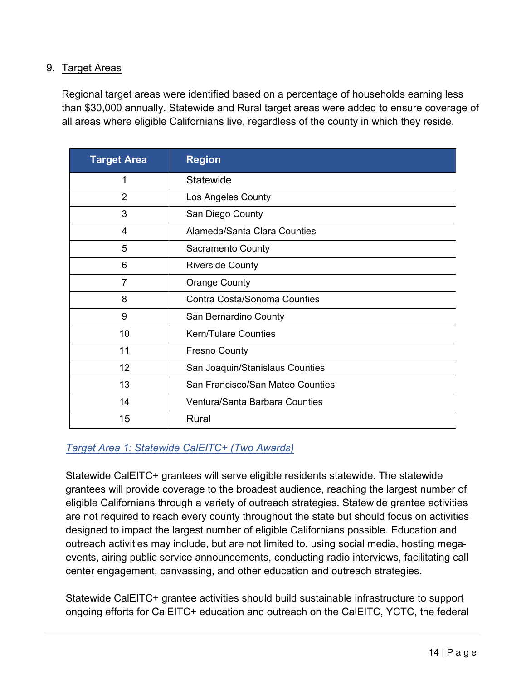#### <span id="page-13-0"></span>9. Target Areas

Regional target areas were identified based on a percentage of households earning less than \$30,000 annually. Statewide and Rural target areas were added to ensure coverage of all areas where eligible Californians live, regardless of the county in which they reside.

| <b>Target Area</b> | <b>Region</b>                    |
|--------------------|----------------------------------|
| 1                  | Statewide                        |
| $\overline{2}$     | Los Angeles County               |
| 3                  | San Diego County                 |
| $\overline{4}$     | Alameda/Santa Clara Counties     |
| 5                  | Sacramento County                |
| 6                  | <b>Riverside County</b>          |
| $\overline{7}$     | <b>Orange County</b>             |
| 8                  | Contra Costa/Sonoma Counties     |
| 9                  | San Bernardino County            |
| 10                 | <b>Kern/Tulare Counties</b>      |
| 11                 | <b>Fresno County</b>             |
| 12                 | San Joaquin/Stanislaus Counties  |
| 13                 | San Francisco/San Mateo Counties |
| 14                 | Ventura/Santa Barbara Counties   |
| 15                 | Rural                            |

### *Target Area 1: Statewide CalEITC+ (Two Awards)*

Statewide CalEITC+ grantees will serve eligible residents statewide. The statewide grantees will provide coverage to the broadest audience, reaching the largest number of eligible Californians through a variety of outreach strategies. Statewide grantee activities are not required to reach every county throughout the state but should focus on activities designed to impact the largest number of eligible Californians possible. Education and outreach activities may include, but are not limited to, using social media, hosting megaevents, airing public service announcements, conducting radio interviews, facilitating call center engagement, canvassing, and other education and outreach strategies.

Statewide CalEITC+ grantee activities should build sustainable infrastructure to support ongoing efforts for CalEITC+ education and outreach on the CalEITC, YCTC, the federal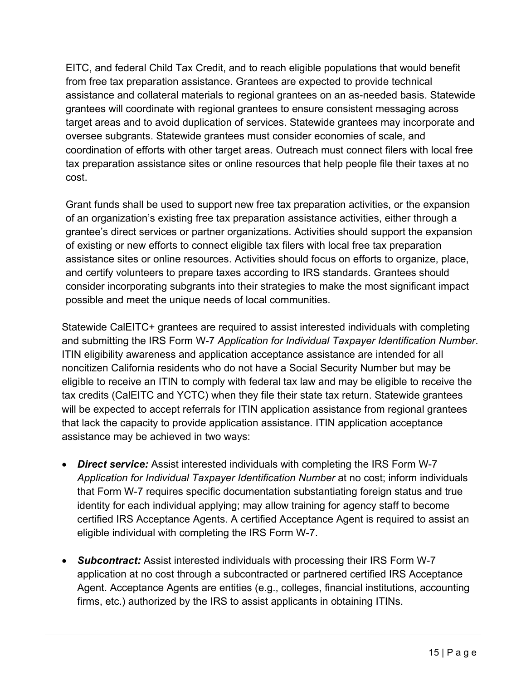EITC, and federal Child Tax Credit, and to reach eligible populations that would benefit from free tax preparation assistance. Grantees are expected to provide technical assistance and collateral materials to regional grantees on an as-needed basis. Statewide grantees will coordinate with regional grantees to ensure consistent messaging across target areas and to avoid duplication of services. Statewide grantees may incorporate and oversee subgrants. Statewide grantees must consider economies of scale, and coordination of efforts with other target areas. Outreach must connect filers with local free tax preparation assistance sites or online resources that help people file their taxes at no cost.

Grant funds shall be used to support new free tax preparation activities, or the expansion of an organization's existing free tax preparation assistance activities, either through a grantee's direct services or partner organizations. Activities should support the expansion of existing or new efforts to connect eligible tax filers with local free tax preparation assistance sites or online resources. Activities should focus on efforts to organize, place, and certify volunteers to prepare taxes according to IRS standards. Grantees should consider incorporating subgrants into their strategies to make the most significant impact possible and meet the unique needs of local communities.

Statewide CalEITC+ grantees are required to assist interested individuals with completing and submitting the IRS Form W-7 *Application for Individual Taxpayer Identification Number*. ITIN eligibility awareness and application acceptance assistance are intended for all noncitizen California residents who do not have a Social Security Number but may be eligible to receive an ITIN to comply with federal tax law and may be eligible to receive the tax credits (CalEITC and YCTC) when they file their state tax return. Statewide grantees will be expected to accept referrals for ITIN application assistance from regional grantees that lack the capacity to provide application assistance. ITIN application acceptance assistance may be achieved in two ways:

- *Direct service:* Assist interested individuals with completing the IRS Form W-7 *Application for Individual Taxpayer Identification Number* at no cost; inform individuals that Form W-7 requires specific documentation substantiating foreign status and true identity for each individual applying; may allow training for agency staff to become certified IRS Acceptance Agents. A certified Acceptance Agent is required to assist an eligible individual with completing the IRS Form W-7.
- *Subcontract:* Assist interested individuals with processing their IRS Form W-7 application at no cost through a subcontracted or partnered certified IRS Acceptance Agent. Acceptance Agents are entities (e.g., colleges, financial institutions, accounting firms, etc.) authorized by the IRS to assist applicants in obtaining ITINs.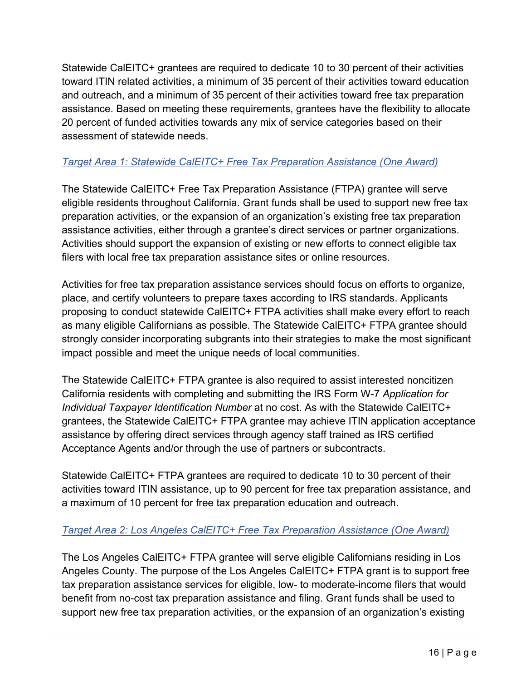Statewide CalEITC+ grantees are required to dedicate 10 to 30 percent of their activities toward ITIN related activities, a minimum of 35 percent of their activities toward education and outreach, and a minimum of 35 percent of their activities toward free tax preparation assistance. Based on meeting these requirements, grantees have the flexibility to allocate 20 percent of funded activities towards any mix of service categories based on their assessment of statewide needs.

## *Target Area 1: Statewide CalEITC+ Free Tax Preparation Assistance (One Award)*

The Statewide CalEITC+ Free Tax Preparation Assistance (FTPA) grantee will serve eligible residents throughout California. Grant funds shall be used to support new free tax preparation activities, or the expansion of an organization's existing free tax preparation assistance activities, either through a grantee's direct services or partner organizations. Activities should support the expansion of existing or new efforts to connect eligible tax filers with local free tax preparation assistance sites or online resources.

Activities for free tax preparation assistance services should focus on efforts to organize, place, and certify volunteers to prepare taxes according to IRS standards. Applicants proposing to conduct statewide CalEITC+ FTPA activities shall make every effort to reach as many eligible Californians as possible. The Statewide CalEITC+ FTPA grantee should strongly consider incorporating subgrants into their strategies to make the most significant impact possible and meet the unique needs of local communities.

The Statewide CalEITC+ FTPA grantee is also required to assist interested noncitizen California residents with completing and submitting the IRS Form W-7 *Application for Individual Taxpayer Identification Number* at no cost. As with the Statewide CalEITC+ grantees, the Statewide CalEITC+ FTPA grantee may achieve ITIN application acceptance assistance by offering direct services through agency staff trained as IRS certified Acceptance Agents and/or through the use of partners or subcontracts.

Statewide CalEITC+ FTPA grantees are required to dedicate 10 to 30 percent of their activities toward ITIN assistance, up to 90 percent for free tax preparation assistance, and a maximum of 10 percent for free tax preparation education and outreach.

### *Target Area 2: Los Angeles CalEITC+ Free Tax Preparation Assistance (One Award)*

The Los Angeles CalEITC+ FTPA grantee will serve eligible Californians residing in Los Angeles County. The purpose of the Los Angeles CalEITC+ FTPA grant is to support free tax preparation assistance services for eligible, low- to moderate-income filers that would benefit from no-cost tax preparation assistance and filing. Grant funds shall be used to support new free tax preparation activities, or the expansion of an organization's existing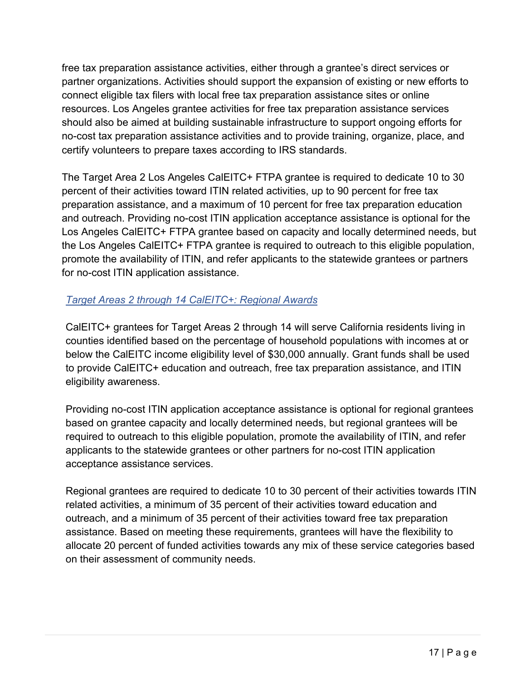free tax preparation assistance activities, either through a grantee's direct services or partner organizations. Activities should support the expansion of existing or new efforts to connect eligible tax filers with local free tax preparation assistance sites or online resources. Los Angeles grantee activities for free tax preparation assistance services should also be aimed at building sustainable infrastructure to support ongoing efforts for no-cost tax preparation assistance activities and to provide training, organize, place, and certify volunteers to prepare taxes according to IRS standards.

The Target Area 2 Los Angeles CalEITC+ FTPA grantee is required to dedicate 10 to 30 percent of their activities toward ITIN related activities, up to 90 percent for free tax preparation assistance, and a maximum of 10 percent for free tax preparation education and outreach. Providing no-cost ITIN application acceptance assistance is optional for the Los Angeles CalEITC+ FTPA grantee based on capacity and locally determined needs, but the Los Angeles CalEITC+ FTPA grantee is required to outreach to this eligible population, promote the availability of ITIN, and refer applicants to the statewide grantees or partners for no-cost ITIN application assistance.

## *Target Areas 2 through 14 CalEITC+: Regional Awards*

CalEITC+ grantees for Target Areas 2 through 14 will serve California residents living in counties identified based on the percentage of household populations with incomes at or below the CalEITC income eligibility level of \$30,000 annually. Grant funds shall be used to provide CalEITC+ education and outreach, free tax preparation assistance, and ITIN eligibility awareness.

Providing no-cost ITIN application acceptance assistance is optional for regional grantees based on grantee capacity and locally determined needs, but regional grantees will be required to outreach to this eligible population, promote the availability of ITIN, and refer applicants to the statewide grantees or other partners for no-cost ITIN application acceptance assistance services.

Regional grantees are required to dedicate 10 to 30 percent of their activities towards ITIN related activities, a minimum of 35 percent of their activities toward education and outreach, and a minimum of 35 percent of their activities toward free tax preparation assistance. Based on meeting these requirements, grantees will have the flexibility to allocate 20 percent of funded activities towards any mix of these service categories based on their assessment of community needs.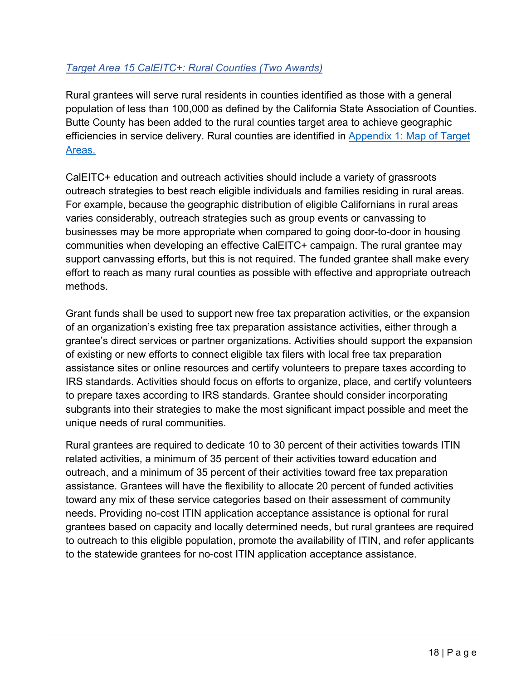## *Target Area 15 CalEITC+: Rural Counties (Two Awards)*

Rural grantees will serve rural residents in counties identified as those with a general population of less than 100,000 as defined by the California State Association of Counties. Butte County has been added to the rural counties target area to achieve geographic efficiencies in service delivery. Rural counties are identified in Appendix 1: Map of Target Areas.

CalEITC+ education and outreach activities should include a variety of grassroots outreach strategies to best reach eligible individuals and families residing in rural areas. For example, because the geographic distribution of eligible Californians in rural areas varies considerably, outreach strategies such as group events or canvassing to businesses may be more appropriate when compared to going door-to-door in housing communities when developing an effective CalEITC+ campaign. The rural grantee may support canvassing efforts, but this is not required. The funded grantee shall make every effort to reach as many rural counties as possible with effective and appropriate outreach methods.

Grant funds shall be used to support new free tax preparation activities, or the expansion of an organization's existing free tax preparation assistance activities, either through a grantee's direct services or partner organizations. Activities should support the expansion of existing or new efforts to connect eligible tax filers with local free tax preparation assistance sites or online resources and certify volunteers to prepare taxes according to IRS standards. Activities should focus on efforts to organize, place, and certify volunteers to prepare taxes according to IRS standards. Grantee should consider incorporating subgrants into their strategies to make the most significant impact possible and meet the unique needs of rural communities.

Rural grantees are required to dedicate 10 to 30 percent of their activities towards ITIN related activities, a minimum of 35 percent of their activities toward education and outreach, and a minimum of 35 percent of their activities toward free tax preparation assistance. Grantees will have the flexibility to allocate 20 percent of funded activities toward any mix of these service categories based on their assessment of community needs. Providing no-cost ITIN application acceptance assistance is optional for rural grantees based on capacity and locally determined needs, but rural grantees are required to outreach to this eligible population, promote the availability of ITIN, and refer applicants to the statewide grantees for no-cost ITIN application acceptance assistance.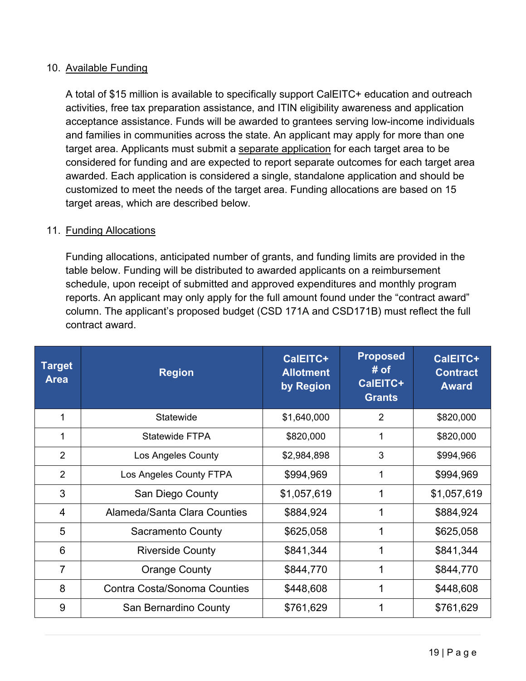#### <span id="page-18-0"></span>10. Available Funding

A total of \$15 million is available to specifically support CalEITC+ education and outreach activities, free tax preparation assistance, and ITIN eligibility awareness and application acceptance assistance. Funds will be awarded to grantees serving low-income individuals and families in communities across the state. An applicant may apply for more than one target area. Applicants must submit a separate application for each target area to be considered for funding and are expected to report separate outcomes for each target area awarded. Each application is considered a single, standalone application and should be customized to meet the needs of the target area. Funding allocations are based on 15 target areas, which are described below.

#### <span id="page-18-1"></span>11. Funding Allocations

Funding allocations, anticipated number of grants, and funding limits are provided in the table below. Funding will be distributed to awarded applicants on a reimbursement schedule, upon receipt of submitted and approved expenditures and monthly program reports. An applicant may only apply for the full amount found under the "contract award" column. The applicant's proposed budget (CSD 171A and CSD171B) must reflect the full contract award.

| <b>Target</b><br><b>Area</b> | <b>Region</b>                       | CalEITC+<br><b>Allotment</b><br>by Region | <b>Proposed</b><br># of<br>CalEITC+<br><b>Grants</b> | CalEITC+<br><b>Contract</b><br><b>Award</b> |
|------------------------------|-------------------------------------|-------------------------------------------|------------------------------------------------------|---------------------------------------------|
| 1                            | Statewide                           | \$1,640,000                               | 2                                                    | \$820,000                                   |
| 1                            | Statewide FTPA                      | \$820,000                                 | 1                                                    | \$820,000                                   |
| 2                            | Los Angeles County                  | \$2,984,898                               | 3                                                    | \$994,966                                   |
| 2                            | Los Angeles County FTPA             | \$994,969                                 | 1                                                    | \$994,969                                   |
| 3                            | San Diego County                    | \$1,057,619                               | 1                                                    | \$1,057,619                                 |
| $\overline{4}$               | Alameda/Santa Clara Counties        | \$884,924                                 | 1                                                    | \$884,924                                   |
| 5                            | <b>Sacramento County</b>            | \$625,058                                 | 1                                                    | \$625,058                                   |
| 6                            | <b>Riverside County</b>             | \$841,344                                 | 1                                                    | \$841,344                                   |
| $\overline{7}$               | <b>Orange County</b>                | \$844,770                                 | 1                                                    | \$844,770                                   |
| 8                            | <b>Contra Costa/Sonoma Counties</b> | \$448,608                                 | 1                                                    | \$448,608                                   |
| 9                            | San Bernardino County               | \$761,629                                 |                                                      | \$761,629                                   |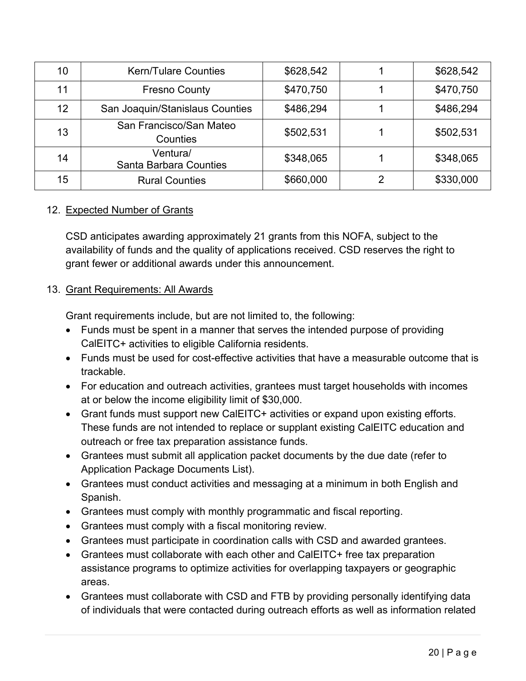| 10 | <b>Kern/Tulare Counties</b>               | \$628,542 |   | \$628,542 |
|----|-------------------------------------------|-----------|---|-----------|
| 11 | <b>Fresno County</b>                      | \$470,750 |   | \$470,750 |
| 12 | San Joaquin/Stanislaus Counties           | \$486,294 |   | \$486,294 |
| 13 | San Francisco/San Mateo<br>Counties       | \$502,531 |   | \$502,531 |
| 14 | Ventura/<br><b>Santa Barbara Counties</b> | \$348,065 |   | \$348,065 |
| 15 | <b>Rural Counties</b>                     | \$660,000 | 2 | \$330,000 |

### <span id="page-19-0"></span>12. Expected Number of Grants

CSD anticipates awarding approximately 21 grants from this NOFA, subject to the availability of funds and the quality of applications received. CSD reserves the right to grant fewer or additional awards under this announcement.

## <span id="page-19-1"></span>13. Grant Requirements: All Awards

Grant requirements include, but are not limited to, the following:

- Funds must be spent in a manner that serves the intended purpose of providing CalEITC+ activities to eligible California residents.
- Funds must be used for cost-effective activities that have a measurable outcome that is trackable.
- For education and outreach activities, grantees must target households with incomes at or below the income eligibility limit of \$30,000.
- Grant funds must support new CalEITC+ activities or expand upon existing efforts. These funds are not intended to replace or supplant existing CalEITC education and outreach or free tax preparation assistance funds.
- Grantees must submit all application packet documents by the due date (refer to Application Package Documents List).
- Grantees must conduct activities and messaging at a minimum in both English and Spanish.
- Grantees must comply with monthly programmatic and fiscal reporting.
- Grantees must comply with a fiscal monitoring review.
- Grantees must participate in coordination calls with CSD and awarded grantees.
- Grantees must collaborate with each other and CalEITC+ free tax preparation assistance programs to optimize activities for overlapping taxpayers or geographic areas.
- Grantees must collaborate with CSD and FTB by providing personally identifying data of individuals that were contacted during outreach efforts as well as information related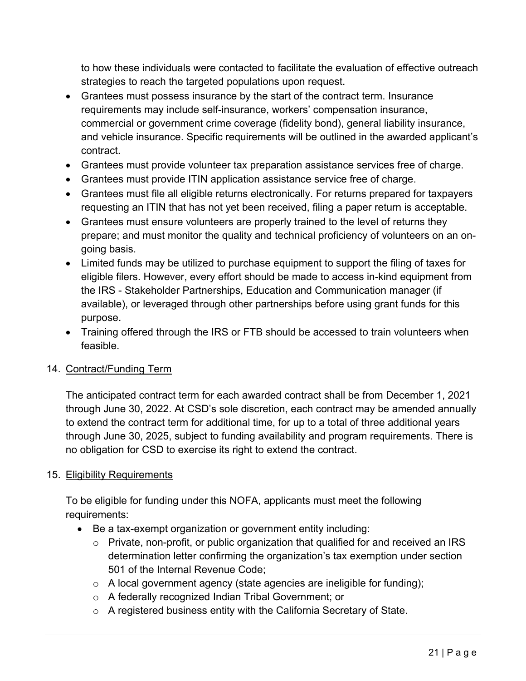to how these individuals were contacted to facilitate the evaluation of effective outreach strategies to reach the targeted populations upon request.

- Grantees must possess insurance by the start of the contract term. Insurance requirements may include self-insurance, workers' compensation insurance, commercial or government crime coverage (fidelity bond), general liability insurance, and vehicle insurance. Specific requirements will be outlined in the awarded applicant's contract.
- Grantees must provide volunteer tax preparation assistance services free of charge.
- Grantees must provide ITIN application assistance service free of charge.
- Grantees must file all eligible returns electronically. For returns prepared for taxpayers requesting an ITIN that has not yet been received, filing a paper return is acceptable.
- Grantees must ensure volunteers are properly trained to the level of returns they prepare; and must monitor the quality and technical proficiency of volunteers on an ongoing basis.
- Limited funds may be utilized to purchase equipment to support the filing of taxes for eligible filers. However, every effort should be made to access in-kind equipment from the IRS - Stakeholder Partnerships, Education and Communication manager (if available), or leveraged through other partnerships before using grant funds for this purpose.
- Training offered through the IRS or FTB should be accessed to train volunteers when feasible.

### <span id="page-20-0"></span>14. Contract/Funding Term

The anticipated contract term for each awarded contract shall be from December 1, 2021 through June 30, 2022. At CSD's sole discretion, each contract may be amended annually to extend the contract term for additional time, for up to a total of three additional years through June 30, 2025, subject to funding availability and program requirements. There is no obligation for CSD to exercise its right to extend the contract.

#### <span id="page-20-1"></span>15. Eligibility Requirements

To be eligible for funding under this NOFA, applicants must meet the following requirements:

- Be a tax-exempt organization or government entity including:
	- o Private, non-profit, or public organization that qualified for and received an IRS determination letter confirming the organization's tax exemption under section 501 of the Internal Revenue Code;
	- $\circ$  A local government agency (state agencies are ineligible for funding);
	- o A federally recognized Indian Tribal Government; or
	- o A registered business entity with the California Secretary of State.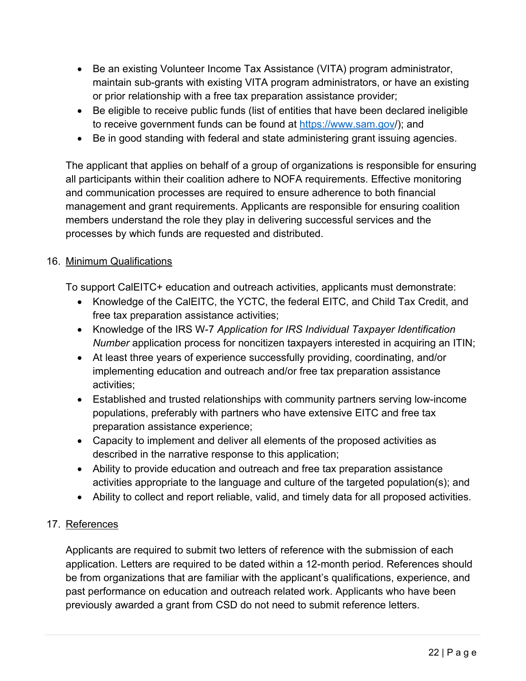- Be an existing Volunteer Income Tax Assistance (VITA) program administrator, maintain sub-grants with existing VITA program administrators, or have an existing or prior relationship with a free tax preparation assistance provider;
- Be eligible to receive public funds (list of entities that have been declared ineligible to receive government funds can be found at<https://www.sam.gov/>); and
- Be in good standing with federal and state administering grant issuing agencies.

The applicant that applies on behalf of a group of organizations is responsible for ensuring all participants within their coalition adhere to NOFA requirements. Effective monitoring and communication processes are required to ensure adherence to both financial management and grant requirements. Applicants are responsible for ensuring coalition members understand the role they play in delivering successful services and the processes by which funds are requested and distributed.

#### <span id="page-21-0"></span>16. Minimum Qualifications

To support CalEITC+ education and outreach activities, applicants must demonstrate:

- Knowledge of the CalEITC, the YCTC, the federal EITC, and Child Tax Credit, and free tax preparation assistance activities;
- Knowledge of the IRS W-7 *Application for IRS Individual Taxpayer Identification Number* application process for noncitizen taxpayers interested in acquiring an ITIN;
- At least three years of experience successfully providing, coordinating, and/or implementing education and outreach and/or free tax preparation assistance activities;
- Established and trusted relationships with community partners serving low-income populations, preferably with partners who have extensive EITC and free tax preparation assistance experience;
- Capacity to implement and deliver all elements of the proposed activities as described in the narrative response to this application;
- Ability to provide education and outreach and free tax preparation assistance activities appropriate to the language and culture of the targeted population(s); and
- Ability to collect and report reliable, valid, and timely data for all proposed activities.

### <span id="page-21-1"></span>17. References

Applicants are required to submit two letters of reference with the submission of each application. Letters are required to be dated within a 12-month period. References should be from organizations that are familiar with the applicant's qualifications, experience, and past performance on education and outreach related work. Applicants who have been previously awarded a grant from CSD do not need to submit reference letters.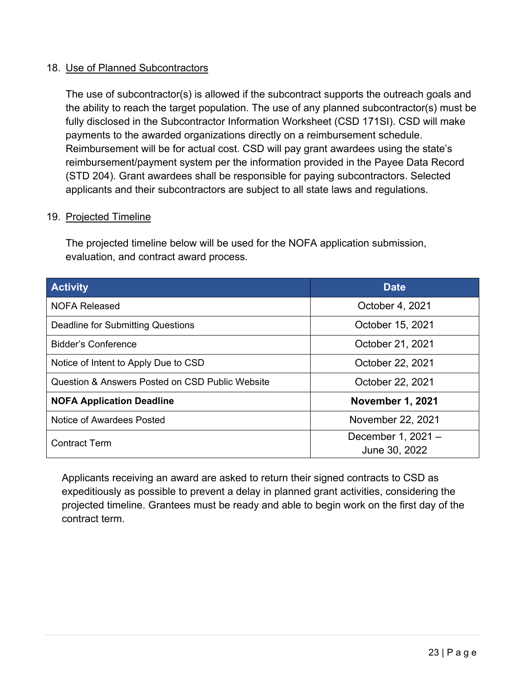#### <span id="page-22-0"></span>18. Use of Planned Subcontractors

The use of subcontractor(s) is allowed if the subcontract supports the outreach goals and the ability to reach the target population. The use of any planned subcontractor(s) must be fully disclosed in the Subcontractor Information Worksheet (CSD 171SI). CSD will make payments to the awarded organizations directly on a reimbursement schedule. Reimbursement will be for actual cost. CSD will pay grant awardees using the state's reimbursement/payment system per the information provided in the Payee Data Record (STD 204). Grant awardees shall be responsible for paying subcontractors. Selected applicants and their subcontractors are subject to all state laws and regulations.

#### <span id="page-22-1"></span>19. Projected Timeline

The projected timeline below will be used for the NOFA application submission, evaluation, and contract award process.

| <b>Activity</b>                                            | <b>Date</b>                         |
|------------------------------------------------------------|-------------------------------------|
| <b>NOFA Released</b>                                       | October 4, 2021                     |
| <b>Deadline for Submitting Questions</b>                   | October 15, 2021                    |
| Bidder's Conference                                        | October 21, 2021                    |
| Notice of Intent to Apply Due to CSD                       | October 22, 2021                    |
| <b>Question &amp; Answers Posted on CSD Public Website</b> | October 22, 2021                    |
| <b>NOFA Application Deadline</b>                           | <b>November 1, 2021</b>             |
| Notice of Awardees Posted                                  | November 22, 2021                   |
| <b>Contract Term</b>                                       | December 1, 2021 -<br>June 30, 2022 |

Applicants receiving an award are asked to return their signed contracts to CSD as expeditiously as possible to prevent a delay in planned grant activities, considering the projected timeline. Grantees must be ready and able to begin work on the first day of the contract term.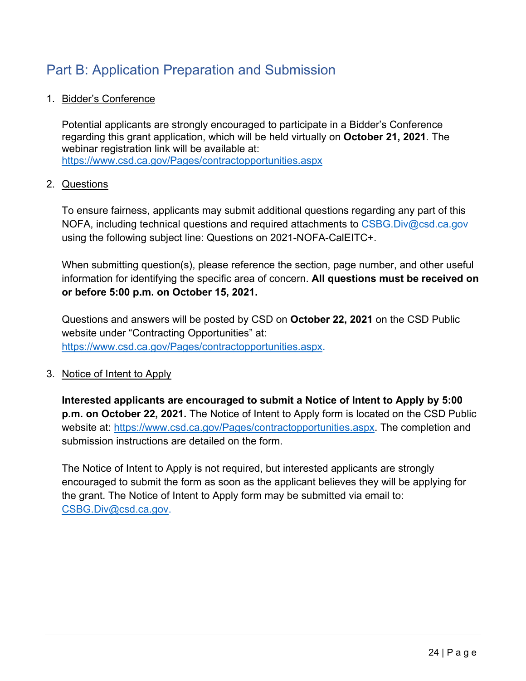# <span id="page-23-0"></span>Part B: Application Preparation and Submission

### <span id="page-23-1"></span>1. Bidder's Conference

Potential applicants are strongly encouraged to participate in a Bidder's Conference regarding this grant application, which will be held virtually on **October 21, 2021**. The webinar registration link will be available at: <https://www.csd.ca.gov/Pages/contractopportunities.aspx>

#### <span id="page-23-2"></span>2. Questions

To ensure fairness, applicants may submit additional questions regarding any part of this NOFA, including technical questions and required attachments to [CSBG.Div@csd.ca.gov](mailto:CSBG.Div@csd.ca.gov) using the following subject line: Questions on 2021-NOFA-CalEITC+.

When submitting question(s), please reference the section, page number, and other useful information for identifying the specific area of concern. **All questions must be received on or before 5:00 p.m. on October 15, 2021.**

Questions and answers will be posted by CSD on **October 22, 2021** on the CSD Public website under "Contracting Opportunities" at: [https://www.csd.ca.gov/Pages/contractopportunities.aspx.](https://www.csd.ca.gov/Pages/contractopportunities.aspx)

### <span id="page-23-3"></span>3. Notice of Intent to Apply

**Interested applicants are encouraged to submit a Notice of Intent to Apply by 5:00 p.m. on October 22, 2021.** The Notice of Intent to Apply form is located on the CSD Public website at: [https://www.csd.ca.gov/Pages/contractopportunities.aspx.](https://www.csd.ca.gov/Pages/contractopportunities.aspx) The completion and submission instructions are detailed on the form.

The Notice of Intent to Apply is not required, but interested applicants are strongly encouraged to submit the form as soon as the applicant believes they will be applying for the grant. The Notice of Intent to Apply form may be submitted via email to: [CSBG.Div@csd.ca.gov.](mailto:CSBG.Div@csd.ca.gov)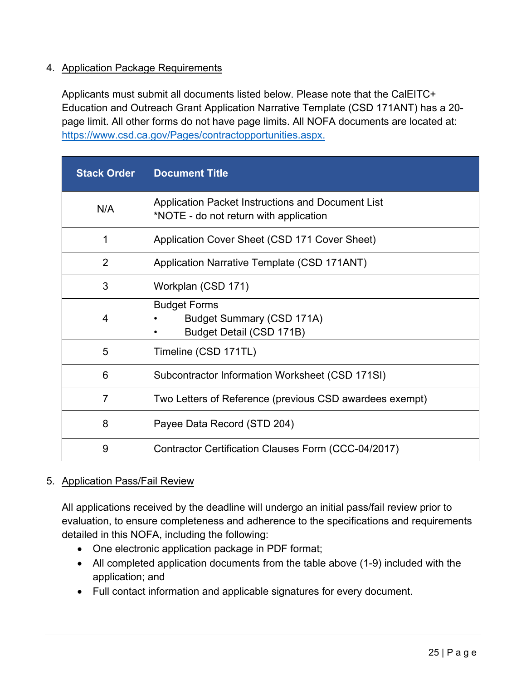### <span id="page-24-0"></span>4. Application Package Requirements

Applicants must submit all documents listed below. Please note that the CalEITC+ Education and Outreach Grant Application Narrative Template (CSD 171ANT) has a 20 page limit. All other forms do not have page limits. All NOFA documents are located at: [https://www.csd.ca.gov/Pages/contractopportunities.aspx.](https://www.csd.ca.gov/Pages/contractopportunities.aspx)

| <b>Stack Order</b> | <b>Document Title</b>                                                                       |
|--------------------|---------------------------------------------------------------------------------------------|
| N/A                | Application Packet Instructions and Document List<br>*NOTE - do not return with application |
| 1                  | Application Cover Sheet (CSD 171 Cover Sheet)                                               |
| $\overline{2}$     | Application Narrative Template (CSD 171ANT)                                                 |
| 3                  | Workplan (CSD 171)                                                                          |
| 4                  | <b>Budget Forms</b><br><b>Budget Summary (CSD 171A)</b><br>Budget Detail (CSD 171B)         |
| 5                  | Timeline (CSD 171TL)                                                                        |
| 6                  | Subcontractor Information Worksheet (CSD 171SI)                                             |
| $\overline{7}$     | Two Letters of Reference (previous CSD awardees exempt)                                     |
| 8                  | Payee Data Record (STD 204)                                                                 |
| 9                  | Contractor Certification Clauses Form (CCC-04/2017)                                         |

### <span id="page-24-1"></span>5. Application Pass/Fail Review

All applications received by the deadline will undergo an initial pass/fail review prior to evaluation, to ensure completeness and adherence to the specifications and requirements detailed in this NOFA, including the following:

- One electronic application package in PDF format;
- All completed application documents from the table above (1-9) included with the application; and
- Full contact information and applicable signatures for every document.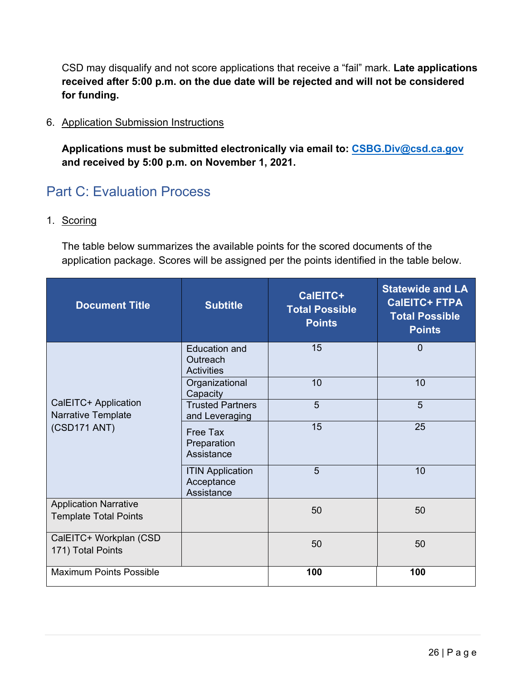CSD may disqualify and not score applications that receive a "fail" mark. **Late applications received after 5:00 p.m. on the due date will be rejected and will not be considered for funding.**

#### <span id="page-25-0"></span>6. Application Submission Instructions

**Applications must be submitted electronically via email to: [CSBG.Div@csd.ca.gov](mailto:CSBG.Div@csd.ca.gov) and received by 5:00 p.m. on November 1, 2021.**

# <span id="page-25-1"></span>Part C: Evaluation Process

<span id="page-25-2"></span>1. Scoring

The table below summarizes the available points for the scored documents of the application package. Scores will be assigned per the points identified in the table below.

| <b>Document Title</b>                                        | <b>Subtitle</b>                                       | CalEITC+<br><b>Total Possible</b><br><b>Points</b> | <b>Statewide and LA</b><br><b>CalEITC+ FTPA</b><br><b>Total Possible</b><br><b>Points</b> |
|--------------------------------------------------------------|-------------------------------------------------------|----------------------------------------------------|-------------------------------------------------------------------------------------------|
|                                                              | <b>Education and</b><br>Outreach<br><b>Activities</b> | 15                                                 | $\overline{0}$                                                                            |
|                                                              | Organizational<br>Capacity                            | 10                                                 | 10                                                                                        |
| CalEITC+ Application<br>Narrative Template                   | <b>Trusted Partners</b><br>and Leveraging             | 5                                                  | 5                                                                                         |
| (CSD171 ANT)                                                 | Free Tax<br>Preparation<br>Assistance                 | 15                                                 | 25                                                                                        |
|                                                              | <b>ITIN Application</b><br>Acceptance<br>Assistance   | 5                                                  | 10                                                                                        |
| <b>Application Narrative</b><br><b>Template Total Points</b> |                                                       | 50                                                 | 50                                                                                        |
| CalEITC+ Workplan (CSD<br>171) Total Points                  |                                                       | 50                                                 | 50                                                                                        |
| <b>Maximum Points Possible</b>                               |                                                       | 100                                                | 100                                                                                       |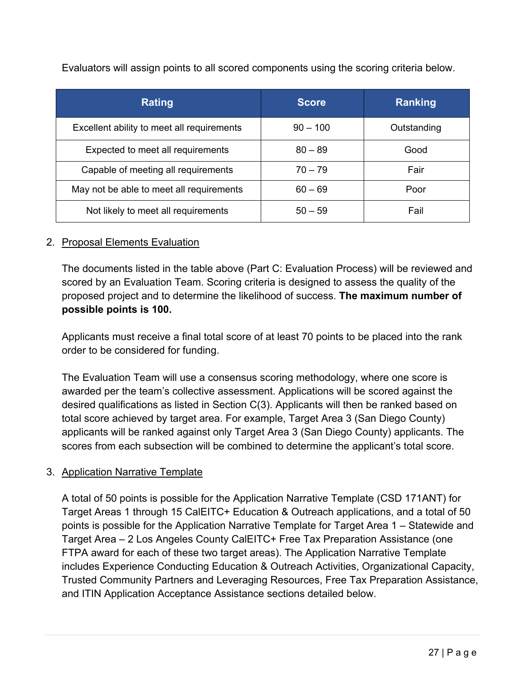| <b>Rating</b>                              | <b>Score</b> | Ranking     |
|--------------------------------------------|--------------|-------------|
| Excellent ability to meet all requirements | $90 - 100$   | Outstanding |
| Expected to meet all requirements          | $80 - 89$    | Good        |
| Capable of meeting all requirements        | $70 - 79$    | Fair        |
| May not be able to meet all requirements   | $60 - 69$    | Poor        |
| Not likely to meet all requirements        | $50 - 59$    | Fail        |

Evaluators will assign points to all scored components using the scoring criteria below.

### <span id="page-26-0"></span>2. Proposal Elements Evaluation

The documents listed in the table above (Part C: Evaluation Process) will be reviewed and scored by an Evaluation Team. Scoring criteria is designed to assess the quality of the proposed project and to determine the likelihood of success. **The maximum number of possible points is 100.**

Applicants must receive a final total score of at least 70 points to be placed into the rank order to be considered for funding.

The Evaluation Team will use a consensus scoring methodology, where one score is awarded per the team's collective assessment. Applications will be scored against the desired qualifications as listed in Section C(3). Applicants will then be ranked based on total score achieved by target area. For example, Target Area 3 (San Diego County) applicants will be ranked against only Target Area 3 (San Diego County) applicants. The scores from each subsection will be combined to determine the applicant's total score.

### <span id="page-26-1"></span>3. Application Narrative Template

A total of 50 points is possible for the Application Narrative Template (CSD 171ANT) for Target Areas 1 through 15 CalEITC+ Education & Outreach applications, and a total of 50 points is possible for the Application Narrative Template for Target Area 1 – Statewide and Target Area – 2 Los Angeles County CalEITC+ Free Tax Preparation Assistance (one FTPA award for each of these two target areas). The Application Narrative Template includes Experience Conducting Education & Outreach Activities, Organizational Capacity, Trusted Community Partners and Leveraging Resources, Free Tax Preparation Assistance, and ITIN Application Acceptance Assistance sections detailed below.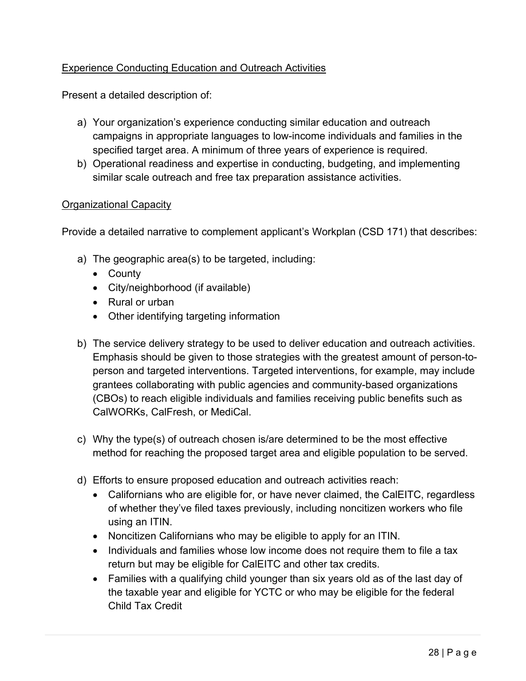### Experience Conducting Education and Outreach Activities

Present a detailed description of:

- a) Your organization's experience conducting similar education and outreach campaigns in appropriate languages to low-income individuals and families in the specified target area. A minimum of three years of experience is required.
- b) Operational readiness and expertise in conducting, budgeting, and implementing similar scale outreach and free tax preparation assistance activities.

#### Organizational Capacity

Provide a detailed narrative to complement applicant's Workplan (CSD 171) that describes:

- a) The geographic area(s) to be targeted, including:
	- County
	- City/neighborhood (if available)
	- Rural or urban
	- Other identifying targeting information
- b) The service delivery strategy to be used to deliver education and outreach activities. Emphasis should be given to those strategies with the greatest amount of person-toperson and targeted interventions. Targeted interventions, for example, may include grantees collaborating with public agencies and community-based organizations (CBOs) to reach eligible individuals and families receiving public benefits such as CalWORKs, CalFresh, or MediCal.
- c) Why the type(s) of outreach chosen is/are determined to be the most effective method for reaching the proposed target area and eligible population to be served.
- d) Efforts to ensure proposed education and outreach activities reach:
	- Californians who are eligible for, or have never claimed, the CalEITC, regardless of whether they've filed taxes previously, including noncitizen workers who file using an ITIN.
	- Noncitizen Californians who may be eligible to apply for an ITIN.
	- Individuals and families whose low income does not require them to file a tax return but may be eligible for CalEITC and other tax credits.
	- Families with a qualifying child younger than six years old as of the last day of the taxable year and eligible for YCTC or who may be eligible for the federal Child Tax Credit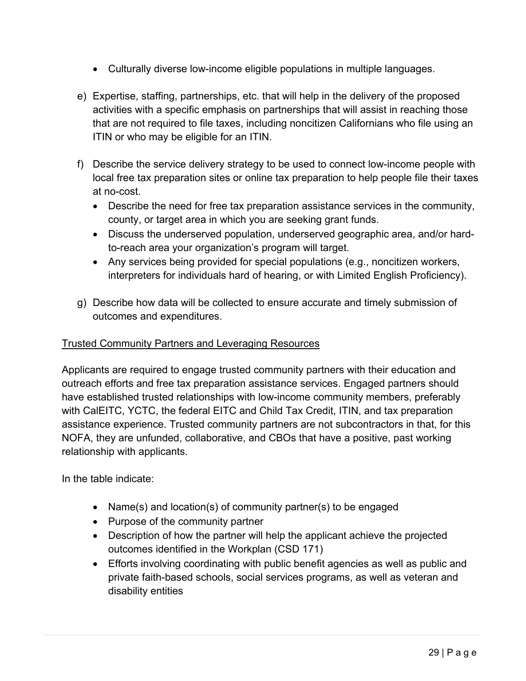- Culturally diverse low-income eligible populations in multiple languages.
- e) Expertise, staffing, partnerships, etc. that will help in the delivery of the proposed activities with a specific emphasis on partnerships that will assist in reaching those that are not required to file taxes, including noncitizen Californians who file using an ITIN or who may be eligible for an ITIN.
- f) Describe the service delivery strategy to be used to connect low-income people with local free tax preparation sites or online tax preparation to help people file their taxes at no-cost.
	- Describe the need for free tax preparation assistance services in the community, county, or target area in which you are seeking grant funds.
	- Discuss the underserved population, underserved geographic area, and/or hardto-reach area your organization's program will target.
	- Any services being provided for special populations (e.g., noncitizen workers, interpreters for individuals hard of hearing, or with Limited English Proficiency).
- g) Describe how data will be collected to ensure accurate and timely submission of outcomes and expenditures.

### Trusted Community Partners and Leveraging Resources

Applicants are required to engage trusted community partners with their education and outreach efforts and free tax preparation assistance services. Engaged partners should have established trusted relationships with low-income community members, preferably with CalEITC, YCTC, the federal EITC and Child Tax Credit, ITIN, and tax preparation assistance experience. Trusted community partners are not subcontractors in that, for this NOFA, they are unfunded, collaborative, and CBOs that have a positive, past working relationship with applicants.

In the table indicate:

- Name(s) and location(s) of community partner(s) to be engaged
- Purpose of the community partner
- Description of how the partner will help the applicant achieve the projected outcomes identified in the Workplan (CSD 171)
- Efforts involving coordinating with public benefit agencies as well as public and private faith-based schools, social services programs, as well as veteran and disability entities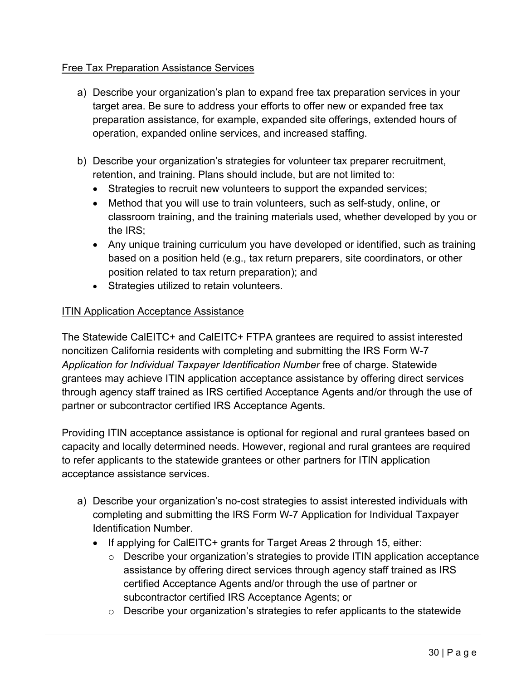#### Free Tax Preparation Assistance Services

- a) Describe your organization's plan to expand free tax preparation services in your target area. Be sure to address your efforts to offer new or expanded free tax preparation assistance, for example, expanded site offerings, extended hours of operation, expanded online services, and increased staffing.
- b) Describe your organization's strategies for volunteer tax preparer recruitment, retention, and training. Plans should include, but are not limited to:
	- Strategies to recruit new volunteers to support the expanded services;
	- Method that you will use to train volunteers, such as self-study, online, or classroom training, and the training materials used, whether developed by you or the IRS;
	- Any unique training curriculum you have developed or identified, such as training based on a position held (e.g., tax return preparers, site coordinators, or other position related to tax return preparation); and
	- Strategies utilized to retain volunteers.

### **ITIN Application Acceptance Assistance**

The Statewide CalEITC+ and CalEITC+ FTPA grantees are required to assist interested noncitizen California residents with completing and submitting the IRS Form W-7 *Application for Individual Taxpayer Identification Number* free of charge. Statewide grantees may achieve ITIN application acceptance assistance by offering direct services through agency staff trained as IRS certified Acceptance Agents and/or through the use of partner or subcontractor certified IRS Acceptance Agents.

Providing ITIN acceptance assistance is optional for regional and rural grantees based on capacity and locally determined needs. However, regional and rural grantees are required to refer applicants to the statewide grantees or other partners for ITIN application acceptance assistance services.

- a) Describe your organization's no-cost strategies to assist interested individuals with completing and submitting the IRS Form W-7 Application for Individual Taxpayer Identification Number.
	- If applying for CalEITC+ grants for Target Areas 2 through 15, either:
		- o Describe your organization's strategies to provide ITIN application acceptance assistance by offering direct services through agency staff trained as IRS certified Acceptance Agents and/or through the use of partner or subcontractor certified IRS Acceptance Agents; or
		- o Describe your organization's strategies to refer applicants to the statewide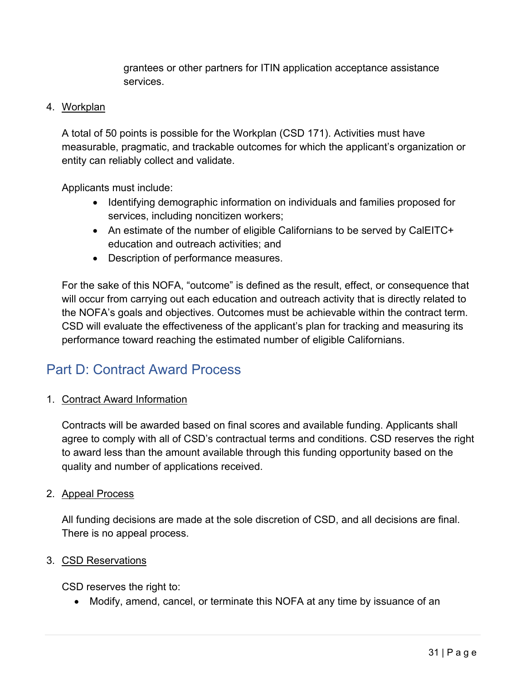grantees or other partners for ITIN application acceptance assistance services.

#### <span id="page-30-0"></span>4. Workplan

A total of 50 points is possible for the Workplan (CSD 171). Activities must have measurable, pragmatic, and trackable outcomes for which the applicant's organization or entity can reliably collect and validate.

Applicants must include:

- Identifying demographic information on individuals and families proposed for services, including noncitizen workers;
- An estimate of the number of eligible Californians to be served by CalEITC+ education and outreach activities; and
- Description of performance measures.

For the sake of this NOFA, "outcome" is defined as the result, effect, or consequence that will occur from carrying out each education and outreach activity that is directly related to the NOFA's goals and objectives. Outcomes must be achievable within the contract term. CSD will evaluate the effectiveness of the applicant's plan for tracking and measuring its performance toward reaching the estimated number of eligible Californians.

# <span id="page-30-1"></span>Part D: Contract Award Process

### <span id="page-30-2"></span>1. Contract Award Information

Contracts will be awarded based on final scores and available funding. Applicants shall agree to comply with all of CSD's contractual terms and conditions. CSD reserves the right to award less than the amount available through this funding opportunity based on the quality and number of applications received.

#### <span id="page-30-3"></span>2. Appeal Process

All funding decisions are made at the sole discretion of CSD, and all decisions are final. There is no appeal process.

#### <span id="page-30-4"></span>3. CSD Reservations

CSD reserves the right to:

• Modify, amend, cancel, or terminate this NOFA at any time by issuance of an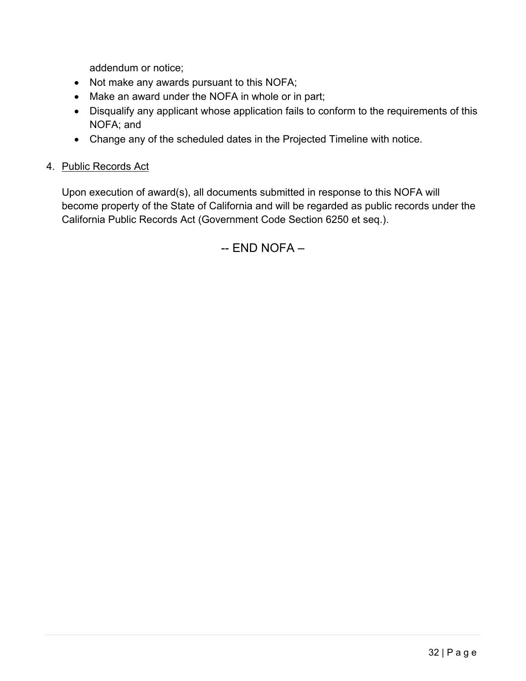addendum or notice;

- Not make any awards pursuant to this NOFA;
- Make an award under the NOFA in whole or in part;
- Disqualify any applicant whose application fails to conform to the requirements of this NOFA; and
- Change any of the scheduled dates in the Projected Timeline with notice.

### <span id="page-31-0"></span>4. Public Records Act

Upon execution of award(s), all documents submitted in response to this NOFA will become property of the State of California and will be regarded as public records under the California Public Records Act (Government Code Section 6250 et seq.).

-- END NOFA –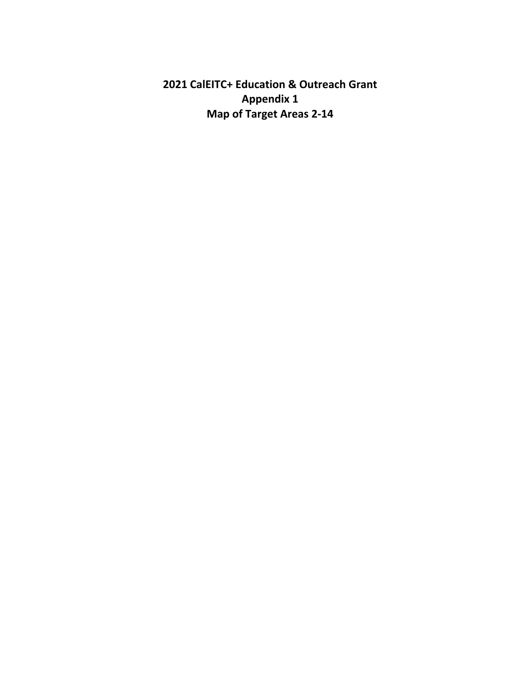<span id="page-32-0"></span>**2021 CalEITC+ Education & Outreach Grant Appendix 1 Map of Target Areas 2-14**